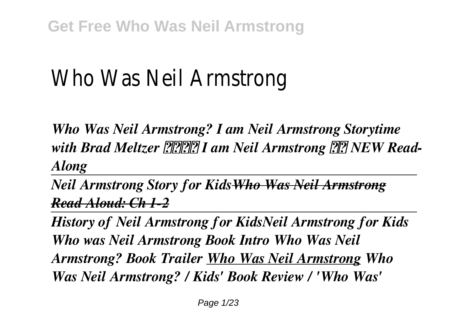# Who Was Neil Armstrong

*Who Was Neil Armstrong? I am Neil Armstrong Storytime* with Brad Meltzer **220 Manufall** I am Neil Armstrong **22** NEW Read-*Along*

*Neil Armstrong Story for KidsWho Was Neil Armstrong Read Aloud: Ch 1-2*

*History of Neil Armstrong for KidsNeil Armstrong for Kids Who was Neil Armstrong Book Intro Who Was Neil Armstrong? Book Trailer Who Was Neil Armstrong Who Was Neil Armstrong? / Kids' Book Review / 'Who Was'*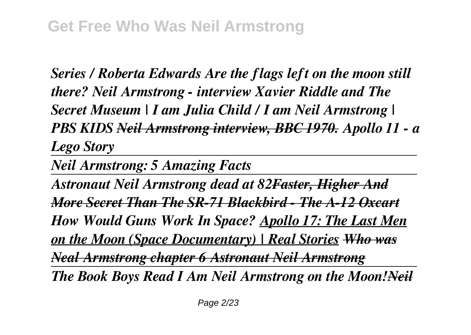*Series / Roberta Edwards Are the flags left on the moon still there? Neil Armstrong - interview Xavier Riddle and The Secret Museum | I am Julia Child / I am Neil Armstrong | PBS KIDS Neil Armstrong interview, BBC 1970. Apollo 11 - a Lego Story*

*Neil Armstrong: 5 Amazing Facts*

*Astronaut Neil Armstrong dead at 82Faster, Higher And More Secret Than The SR-71 Blackbird - The A-12 Oxcart How Would Guns Work In Space? Apollo 17: The Last Men on the Moon (Space Documentary) | Real Stories Who was Neal Armstrong chapter 6 Astronaut Neil Armstrong The Book Boys Read I Am Neil Armstrong on the Moon!Neil*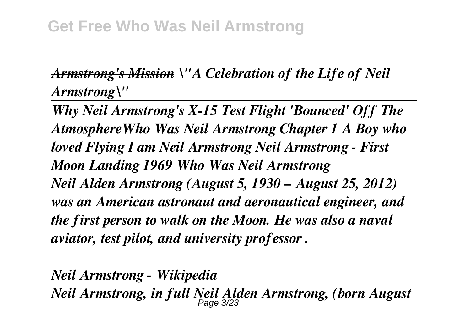## *Armstrong's Mission \"A Celebration of the Life of Neil Armstrong\"*

*Why Neil Armstrong's X-15 Test Flight 'Bounced' Off The AtmosphereWho Was Neil Armstrong Chapter 1 A Boy who loved Flying I am Neil Armstrong Neil Armstrong - First Moon Landing 1969 Who Was Neil Armstrong Neil Alden Armstrong (August 5, 1930 – August 25, 2012) was an American astronaut and aeronautical engineer, and the first person to walk on the Moon. He was also a naval aviator, test pilot, and university professor .*

*Neil Armstrong - Wikipedia Neil Armstrong, in full Neil Alden Armstrong, (born August* Page 3/23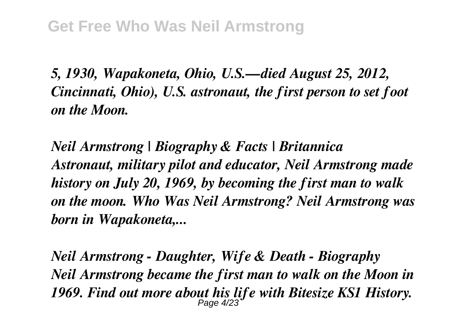*5, 1930, Wapakoneta, Ohio, U.S.—died August 25, 2012, Cincinnati, Ohio), U.S. astronaut, the first person to set foot on the Moon.*

*Neil Armstrong | Biography & Facts | Britannica Astronaut, military pilot and educator, Neil Armstrong made history on July 20, 1969, by becoming the first man to walk on the moon. Who Was Neil Armstrong? Neil Armstrong was born in Wapakoneta,...*

*Neil Armstrong - Daughter, Wife & Death - Biography Neil Armstrong became the first man to walk on the Moon in 1969. Find out more about his life with Bitesize KS1 History.* Page 4/23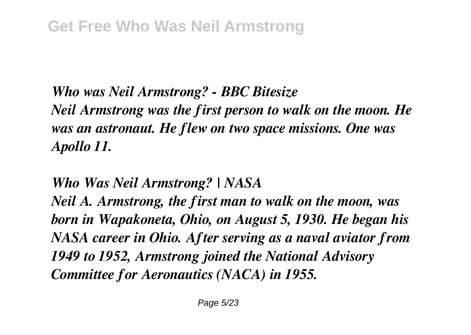*Who was Neil Armstrong? - BBC Bitesize Neil Armstrong was the first person to walk on the moon. He was an astronaut. He flew on two space missions. One was Apollo 11.*

*Who Was Neil Armstrong? | NASA*

*Neil A. Armstrong, the first man to walk on the moon, was born in Wapakoneta, Ohio, on August 5, 1930. He began his NASA career in Ohio. After serving as a naval aviator from 1949 to 1952, Armstrong joined the National Advisory Committee for Aeronautics (NACA) in 1955.*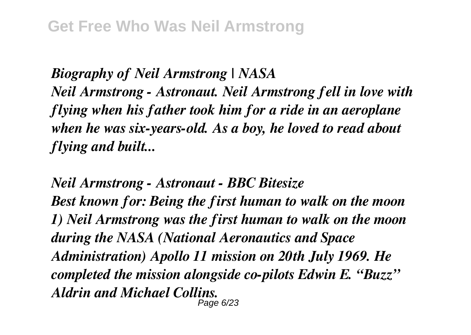*Biography of Neil Armstrong | NASA Neil Armstrong - Astronaut. Neil Armstrong fell in love with flying when his father took him for a ride in an aeroplane when he was six-years-old. As a boy, he loved to read about flying and built...*

*Neil Armstrong - Astronaut - BBC Bitesize Best known for: Being the first human to walk on the moon 1) Neil Armstrong was the first human to walk on the moon during the NASA (National Aeronautics and Space Administration) Apollo 11 mission on 20th July 1969. He completed the mission alongside co-pilots Edwin E. "Buzz" Aldrin and Michael Collins.* Page 6/23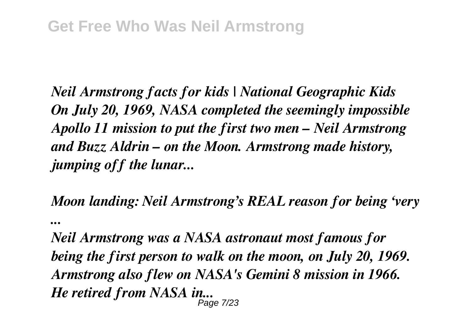*Neil Armstrong facts for kids | National Geographic Kids On July 20, 1969, NASA completed the seemingly impossible Apollo 11 mission to put the first two men – Neil Armstrong and Buzz Aldrin – on the Moon. Armstrong made history, jumping off the lunar...*

*Moon landing: Neil Armstrong's REAL reason for being 'very ...*

*Neil Armstrong was a NASA astronaut most famous for being the first person to walk on the moon, on July 20, 1969. Armstrong also flew on NASA's Gemini 8 mission in 1966. He retired from NASA in...* Page 7/23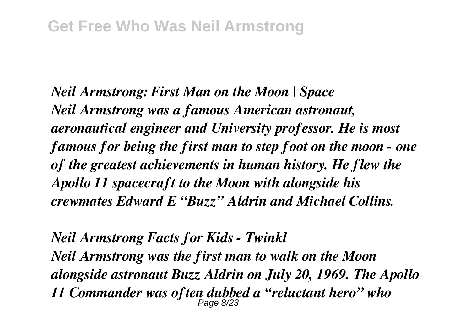*Neil Armstrong: First Man on the Moon | Space Neil Armstrong was a famous American astronaut, aeronautical engineer and University professor. He is most famous for being the first man to step foot on the moon - one of the greatest achievements in human history. He flew the Apollo 11 spacecraft to the Moon with alongside his crewmates Edward E "Buzz" Aldrin and Michael Collins.*

*Neil Armstrong Facts for Kids - Twinkl Neil Armstrong was the first man to walk on the Moon alongside astronaut Buzz Aldrin on July 20, 1969. The Apollo 11 Commander was often dubbed a "reluctant hero" who* Page 8/23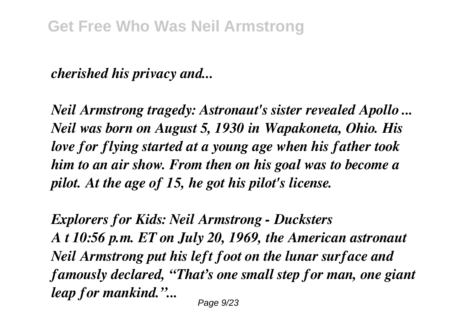### *cherished his privacy and...*

*Neil Armstrong tragedy: Astronaut's sister revealed Apollo ... Neil was born on August 5, 1930 in Wapakoneta, Ohio. His love for flying started at a young age when his father took him to an air show. From then on his goal was to become a pilot. At the age of 15, he got his pilot's license.*

*Explorers for Kids: Neil Armstrong - Ducksters A t 10:56 p.m. ET on July 20, 1969, the American astronaut Neil Armstrong put his left foot on the lunar surface and famously declared, "That's one small step for man, one giant leap for mankind."...*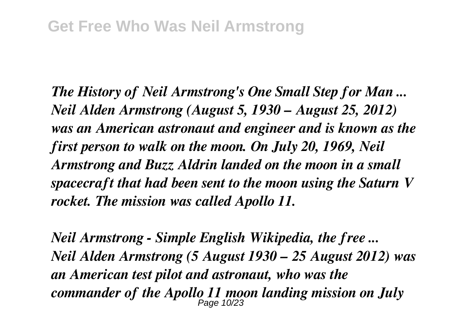*The History of Neil Armstrong's One Small Step for Man ... Neil Alden Armstrong (August 5, 1930 – August 25, 2012) was an American astronaut and engineer and is known as the first person to walk on the moon. On July 20, 1969, Neil Armstrong and Buzz Aldrin landed on the moon in a small spacecraft that had been sent to the moon using the Saturn V rocket. The mission was called Apollo 11.*

*Neil Armstrong - Simple English Wikipedia, the free ... Neil Alden Armstrong (5 August 1930 – 25 August 2012) was an American test pilot and astronaut, who was the commander of the Apollo 11 moon landing mission on July* Page 10/23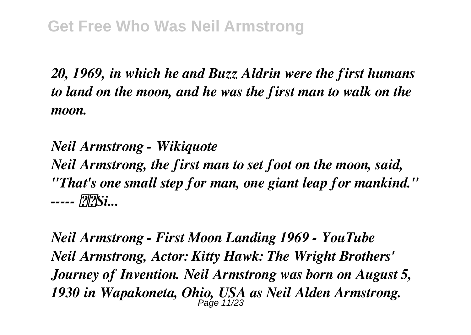*20, 1969, in which he and Buzz Aldrin were the first humans to land on the moon, and he was the first man to walk on the moon.*

*Neil Armstrong - Wikiquote Neil Armstrong, the first man to set foot on the moon, said, "That's one small step for man, one giant leap for mankind." ----- Si...*

*Neil Armstrong - First Moon Landing 1969 - YouTube Neil Armstrong, Actor: Kitty Hawk: The Wright Brothers' Journey of Invention. Neil Armstrong was born on August 5, 1930 in Wapakoneta, Ohio, USA as Neil Alden Armstrong.* Page 11/23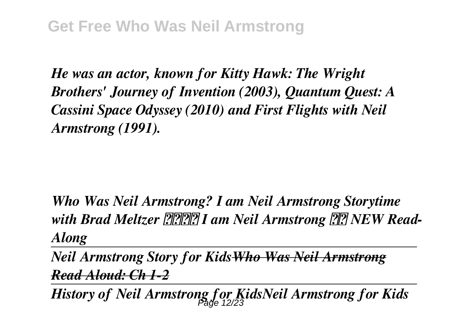*He was an actor, known for Kitty Hawk: The Wright Brothers' Journey of Invention (2003), Quantum Quest: A Cassini Space Odyssey (2010) and First Flights with Neil Armstrong (1991).*

*Who Was Neil Armstrong? I am Neil Armstrong Storytime* with Brad Meltzer **[2014]** I am Neil Armstrong **[2014]** NEW Read-*Along*

*Neil Armstrong Story for KidsWho Was Neil Armstrong Read Aloud: Ch 1-2*

*History of Neil Armstrong for KidsNeil Armstrong for Kids* Page 12/23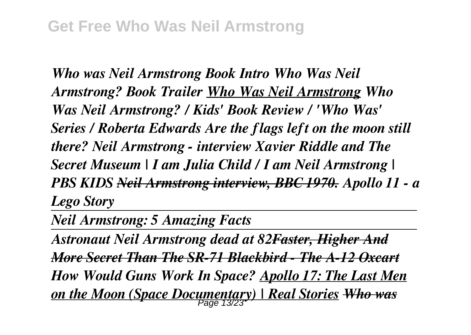*Who was Neil Armstrong Book Intro Who Was Neil Armstrong? Book Trailer Who Was Neil Armstrong Who Was Neil Armstrong? / Kids' Book Review / 'Who Was' Series / Roberta Edwards Are the flags left on the moon still there? Neil Armstrong - interview Xavier Riddle and The Secret Museum | I am Julia Child / I am Neil Armstrong | PBS KIDS Neil Armstrong interview, BBC 1970. Apollo 11 - a Lego Story*

*Neil Armstrong: 5 Amazing Facts*

*Astronaut Neil Armstrong dead at 82Faster, Higher And More Secret Than The SR-71 Blackbird - The A-12 Oxcart How Would Guns Work In Space? Apollo 17: The Last Men on the Moon (Space Documentary) | Real Stories Who was* Page 13/23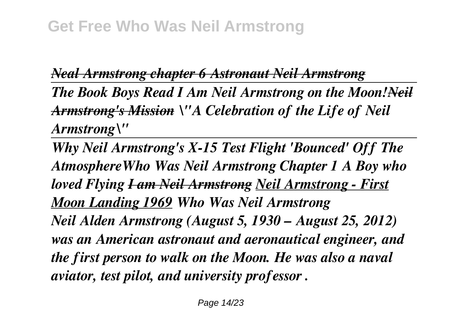## *Neal Armstrong chapter 6 Astronaut Neil Armstrong*

*The Book Boys Read I Am Neil Armstrong on the Moon!Neil Armstrong's Mission \"A Celebration of the Life of Neil Armstrong\"* 

*Why Neil Armstrong's X-15 Test Flight 'Bounced' Off The AtmosphereWho Was Neil Armstrong Chapter 1 A Boy who loved Flying I am Neil Armstrong Neil Armstrong - First Moon Landing 1969 Who Was Neil Armstrong Neil Alden Armstrong (August 5, 1930 – August 25, 2012) was an American astronaut and aeronautical engineer, and the first person to walk on the Moon. He was also a naval aviator, test pilot, and university professor .*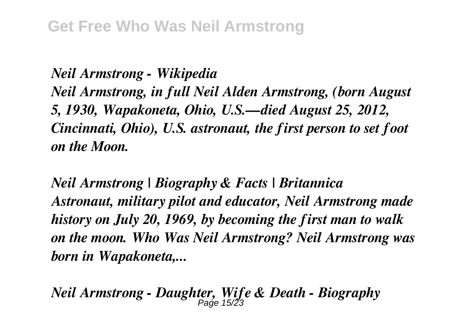*Neil Armstrong - Wikipedia Neil Armstrong, in full Neil Alden Armstrong, (born August 5, 1930, Wapakoneta, Ohio, U.S.—died August 25, 2012, Cincinnati, Ohio), U.S. astronaut, the first person to set foot on the Moon.*

*Neil Armstrong | Biography & Facts | Britannica Astronaut, military pilot and educator, Neil Armstrong made history on July 20, 1969, by becoming the first man to walk on the moon. Who Was Neil Armstrong? Neil Armstrong was born in Wapakoneta,...*

*Neil Armstrong - Daughter, Wife & Death - Biography* Page 15/23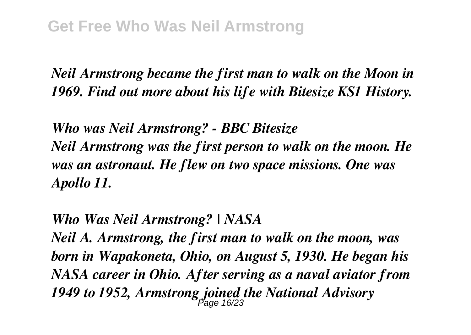*Neil Armstrong became the first man to walk on the Moon in 1969. Find out more about his life with Bitesize KS1 History.*

*Who was Neil Armstrong? - BBC Bitesize Neil Armstrong was the first person to walk on the moon. He was an astronaut. He flew on two space missions. One was Apollo 11.*

*Who Was Neil Armstrong? | NASA*

*Neil A. Armstrong, the first man to walk on the moon, was born in Wapakoneta, Ohio, on August 5, 1930. He began his NASA career in Ohio. After serving as a naval aviator from* 1949 to 1952, Armstrong joined the National Advisory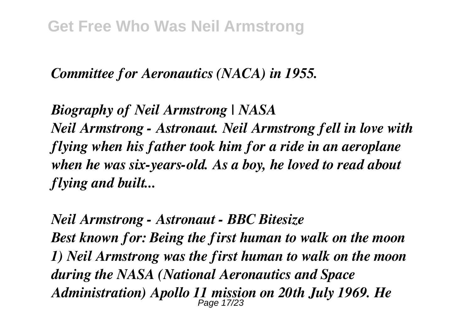### *Committee for Aeronautics (NACA) in 1955.*

*Biography of Neil Armstrong | NASA Neil Armstrong - Astronaut. Neil Armstrong fell in love with flying when his father took him for a ride in an aeroplane when he was six-years-old. As a boy, he loved to read about flying and built...*

*Neil Armstrong - Astronaut - BBC Bitesize Best known for: Being the first human to walk on the moon 1) Neil Armstrong was the first human to walk on the moon during the NASA (National Aeronautics and Space Administration) Apollo 11 mission on 20th July 1969. He* Page 17/23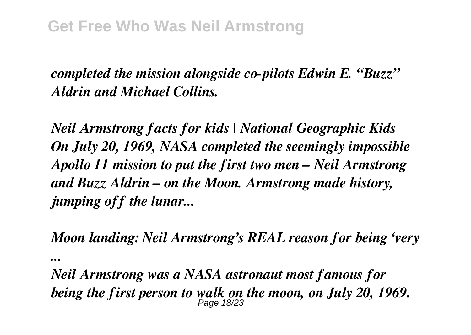# *completed the mission alongside co-pilots Edwin E. "Buzz" Aldrin and Michael Collins.*

*Neil Armstrong facts for kids | National Geographic Kids On July 20, 1969, NASA completed the seemingly impossible Apollo 11 mission to put the first two men – Neil Armstrong and Buzz Aldrin – on the Moon. Armstrong made history, jumping off the lunar...*

*Moon landing: Neil Armstrong's REAL reason for being 'very ...*

*Neil Armstrong was a NASA astronaut most famous for being the first person to walk on the moon, on July 20, 1969.* Page 18/23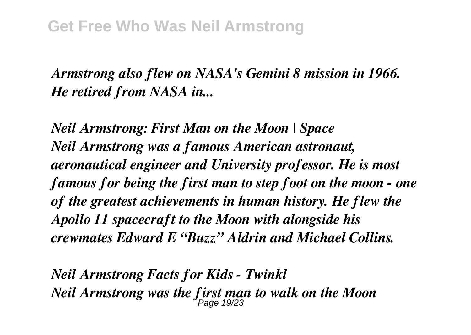*Armstrong also flew on NASA's Gemini 8 mission in 1966. He retired from NASA in...*

*Neil Armstrong: First Man on the Moon | Space Neil Armstrong was a famous American astronaut, aeronautical engineer and University professor. He is most famous for being the first man to step foot on the moon - one of the greatest achievements in human history. He flew the Apollo 11 spacecraft to the Moon with alongside his crewmates Edward E "Buzz" Aldrin and Michael Collins.*

*Neil Armstrong Facts for Kids - Twinkl Neil Armstrong was the first man to walk on the Moon* Page 19/23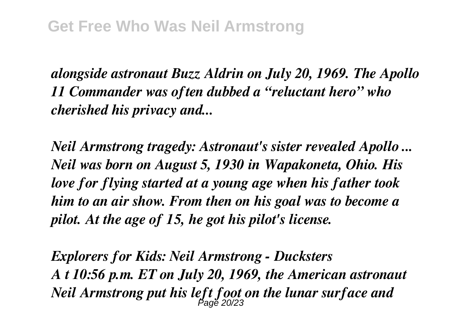*alongside astronaut Buzz Aldrin on July 20, 1969. The Apollo 11 Commander was often dubbed a "reluctant hero" who cherished his privacy and...*

*Neil Armstrong tragedy: Astronaut's sister revealed Apollo ... Neil was born on August 5, 1930 in Wapakoneta, Ohio. His love for flying started at a young age when his father took him to an air show. From then on his goal was to become a pilot. At the age of 15, he got his pilot's license.*

*Explorers for Kids: Neil Armstrong - Ducksters A t 10:56 p.m. ET on July 20, 1969, the American astronaut Neil Armstrong put his left foot on the lunar surface and* Page 20/23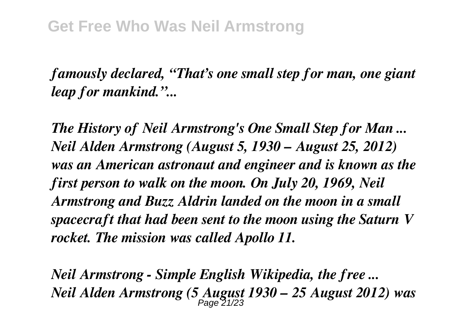*famously declared, "That's one small step for man, one giant leap for mankind."...*

*The History of Neil Armstrong's One Small Step for Man ... Neil Alden Armstrong (August 5, 1930 – August 25, 2012) was an American astronaut and engineer and is known as the first person to walk on the moon. On July 20, 1969, Neil Armstrong and Buzz Aldrin landed on the moon in a small spacecraft that had been sent to the moon using the Saturn V rocket. The mission was called Apollo 11.*

*Neil Armstrong - Simple English Wikipedia, the free ... Neil Alden Armstrong (5 August 1930 – 25 August 2012) was* Page 21/23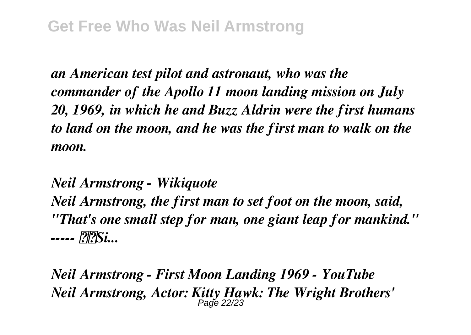*an American test pilot and astronaut, who was the commander of the Apollo 11 moon landing mission on July 20, 1969, in which he and Buzz Aldrin were the first humans to land on the moon, and he was the first man to walk on the moon.*

*Neil Armstrong - Wikiquote*

*Neil Armstrong, the first man to set foot on the moon, said, "That's one small step for man, one giant leap for mankind." ----- Si...*

*Neil Armstrong - First Moon Landing 1969 - YouTube Neil Armstrong, Actor: Kitty Hawk: The Wright Brothers'*